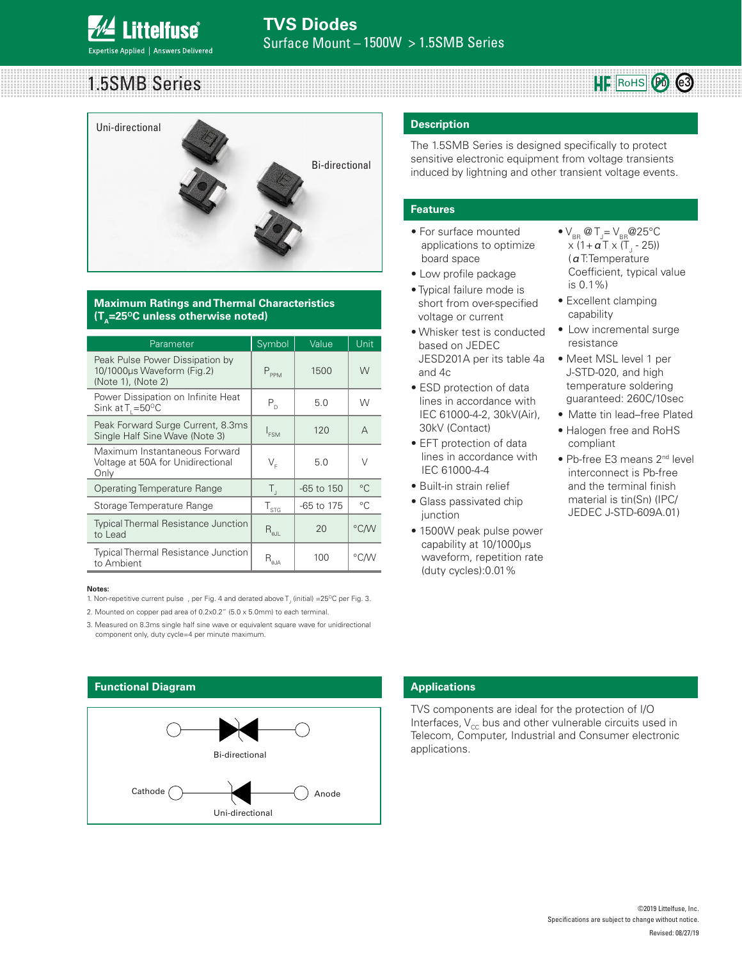

# 1.5SMB Series



### **Maximum Ratings and Thermal Characteristics (T<sub>n</sub>=25<sup>o</sup>C unless otherwise noted)**

| Parameter                                                                           | Symbol                                             | Value          | Unit         |
|-------------------------------------------------------------------------------------|----------------------------------------------------|----------------|--------------|
| Peak Pulse Power Dissipation by<br>10/1000µs Waveform (Fig.2)<br>(Note 1), (Note 2) | $P_{PPM}$                                          | 1500           | W            |
| Power Dissipation on Infinite Heat<br>Sink at $T_1 = 50^{\circ}C$                   | $P_{D}$                                            | 5.0            | W            |
| Peak Forward Surge Current, 8.3ms<br>Single Half Sine Wave (Note 3)                 | $I_{FSM}$                                          | 120            | $\Delta$     |
| Maximum Instantaneous Forward<br>Voltage at 50A for Unidirectional<br>Only          | $V_{\rm F}$                                        | 5.0            | $\vee$       |
| <b>Operating Temperature Range</b>                                                  | $T_{\rm d}$                                        | $-65$ to $150$ | $^{\circ}C$  |
| Storage Temperature Range                                                           | $T_{\rm STG}$                                      | -65 to 175     | $^{\circ}$ C |
| <b>Typical Thermal Resistance Junction</b><br>to Lead                               | $\mathsf{R}_{\text{out}}$                          | 20             | °C/W         |
| <b>Typical Thermal Resistance Junction</b><br>to Ambient                            | $\mathsf{R}_{\scriptscriptstyle\theta\mathsf{JA}}$ | 100            | °C/W         |

### **Notes:**

1. Non-repetitive current pulse , per Fig. 4 and derated above  $T_{\rm J}$  (initial) =25°C per Fig. 3.

2. Mounted on copper pad area of 0.2x0.2" (5.0 x 5.0mm) to each terminal.

3. Measured on 8.3ms single half sine wave or equivalent square wave for unidirectional component only, duty cycle=4 per minute maximum.



### **Description**

The 1.5SMB Series is designed specifically to protect sensitive electronic equipment from voltage transients induced by lightning and other transient voltage events.

### **Features**

- For surface mounted applications to optimize board space
- Low profile package
- Typical failure mode is short from over-specified voltage or current
- Whisker test is conducted based on JEDEC JESD201A per its table 4a and 4c
- ESD protection of data lines in accordance with IEC 61000-4-2, 30kV(Air), 30kV (Contact)
- EFT protection of data lines in accordance with IEC 61000-4-4
- Built-in strain relief
- Glass passivated chip junction
- 1500W peak pulse power capability at 10/1000μs waveform, repetition rate (duty cycles):0.01%

 $\bullet$  V<sub>BR</sub> @ T<sub>J</sub>= V<sub>BR</sub> @ 25°C x (1+ α T x (T<sub>J</sub> - 25)) (αT:Temperature Coefficient, typical value is 0.1%)

RoHS Pb **e3**

- Excellent clamping capability
- Low incremental surge resistance
- Meet MSL level 1 per J-STD-020, and high temperature soldering guaranteed: 260C/10sec
- Matte tin lead–free Plated
- Halogen free and RoHS compliant
- Pb-free E3 means 2<sup>nd</sup> level interconnect is Pb-free and the terminal finish material is tin(Sn) (IPC/ JEDEC J-STD-609A.01)

### **Applications**

TVS components are ideal for the protection of I/O Interfaces,  $V_{cc}$  bus and other vulnerable circuits used in Telecom, Computer, Industrial and Consumer electronic applications.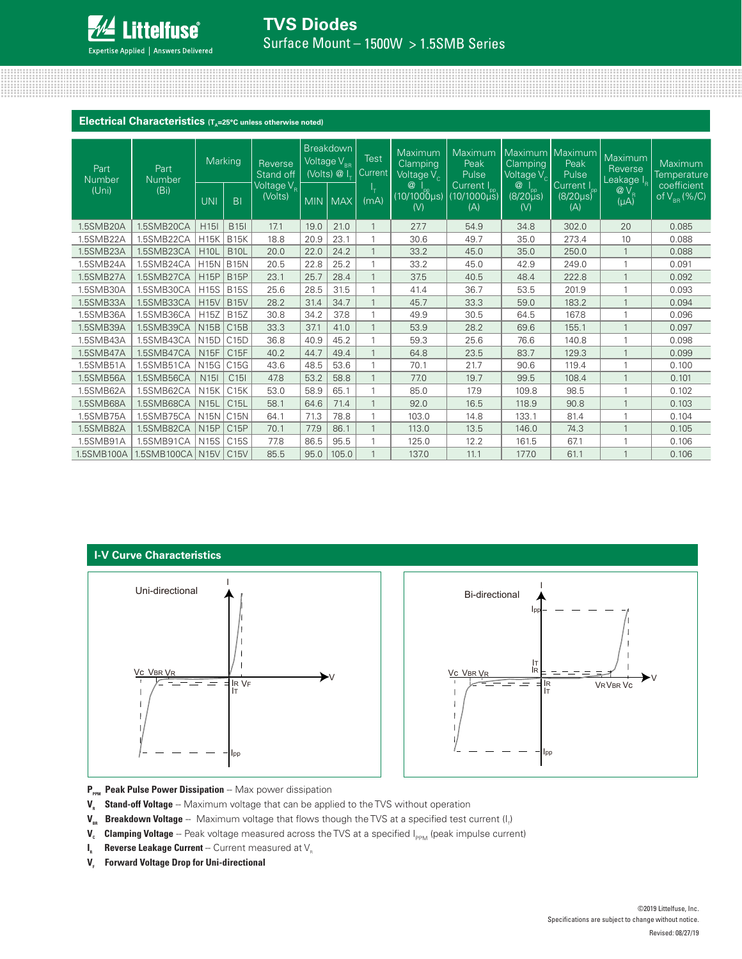

# **TVS Diodes** Surface Mount - 1500W > 1.5SMB Series

### **Electrical Characteristics** (T<sub>A</sub>=25°C unless otherwise noted)

| Part<br>Number<br>(Uni) | Part<br>Number<br>(Bi) | Marking          |                 | Reverse<br>Stand off                                                        | <b>Breakdown</b><br>Voltage V <sub>BB</sub><br>(Volts) @ I_ |       | Test<br>Current | Maximum<br>Clamping<br>Voltage $\sqrt{\ }_{\odot}$ | Maximum<br>Peak<br>Pulse                   | <b>Clamping</b><br>Voltage $\overline{V_c}$                  | Maximum Maximum<br>Peak<br>Pulse                 | Maximum<br>Reverse<br>Leakage I <sub>R</sub>   | <b>Maximum</b><br>Temperature                      |
|-------------------------|------------------------|------------------|-----------------|-----------------------------------------------------------------------------|-------------------------------------------------------------|-------|-----------------|----------------------------------------------------|--------------------------------------------|--------------------------------------------------------------|--------------------------------------------------|------------------------------------------------|----------------------------------------------------|
|                         |                        | <b>UNI</b>       | B <sub>1</sub>  | Voltage $\overline{\mathsf{V}_{\scriptscriptstyle{\mathsf{R}}}}$<br>(Volts) | <b>MIN</b>                                                  | MAX   | г.<br>(mA)      | $\circleda$<br>$(10/1000 \mu s)$<br>(V)            | Current $I_{\text{pp}}$ (10/1000µs)<br>(A) | $^{\circledR}$<br>$(8/20)_{\mu s}^{^{1}_{\text{pp}}}$<br>(V) | Current I <sub>pp</sub><br>$(8/20 \mu s)$<br>(A) | $@V_{R}$<br>$(\mu A)^{\overline{\phantom{a}}}$ | coefficient<br>of $\overline{V_{_{\rm BR}}}$ (%/C) |
| 1.5SMB20A               | 1.5SMB20CA             | H <sub>15</sub>  | <b>B15I</b>     | 17.1                                                                        | 19.0                                                        | 21.0  |                 | 27.7                                               | 54.9                                       | 34.8                                                         | 302.0                                            | 20                                             | 0.085                                              |
| 1.5SMB22A               | 1.5SMB22CA             | <b>H15K</b>      | <b>B15K</b>     | 18.8                                                                        | 20.9                                                        | 23.1  |                 | 30.6                                               | 49.7                                       | 35.0                                                         | 273.4                                            | 10                                             | 0.088                                              |
| 1.5SMB23A               | 1.5SMB23CA             | <b>H10L</b>      | <b>B10L</b>     | 20.0                                                                        | 22.0                                                        | 24.2  |                 | 33.2                                               | 45.0                                       | 35.0                                                         | 250.0                                            |                                                | 0.088                                              |
| 1.5SMB24A               | 1.5SMB24CA             | <b>H15N</b>      | <b>B15N</b>     | 20.5                                                                        | 22.8                                                        | 25.2  |                 | 33.2                                               | 45.0                                       | 42.9                                                         | 249.0                                            |                                                | 0.091                                              |
| 1.5SMB27A               | 1.5SMB27CA             | <b>H15P</b>      | <b>B15P</b>     | 23.1                                                                        | 25.7                                                        | 28.4  |                 | 37.5                                               | 40.5                                       | 48.4                                                         | 222.8                                            |                                                | 0.092                                              |
| 1.5SMB30A               | 1.5SMB30CA             | <b>H15S</b>      | <b>B15S</b>     | 25.6                                                                        | 28.5                                                        | 31.5  | 1               | 41.4                                               | 36.7                                       | 53.5                                                         | 201.9                                            |                                                | 0.093                                              |
| 1.5SMB33A               | 1.5SMB33CA             | <b>H15V</b>      | <b>B15V</b>     | 28.2                                                                        | 31.4                                                        | 34.7  |                 | 45.7                                               | 33.3                                       | 59.0                                                         | 183.2                                            | $\overline{1}$                                 | 0.094                                              |
| 1.5SMB36A               | 1.5SMB36CA             | H15Z             | <b>B15Z</b>     | 30.8                                                                        | 34.2                                                        | 37.8  |                 | 49.9                                               | 30.5                                       | 64.5                                                         | 167.8                                            |                                                | 0.096                                              |
| 1.5SMB39A               | 1.5SMB39CA             | N15B             | C15B            | 33.3                                                                        | 37.1                                                        | 41.0  |                 | 53.9                                               | 28.2                                       | 69.6                                                         | 155.1                                            | $\mathbf{1}$                                   | 0.097                                              |
| 1.5SMB43A               | 1.5SMB43CA             | N15D             | C15D            | 36.8                                                                        | 40.9                                                        | 45.2  |                 | 59.3                                               | 25.6                                       | 76.6                                                         | 140.8                                            |                                                | 0.098                                              |
| 1.5SMB47A               | 1.5SMB47CA             | <b>N15F</b>      | C15F            | 40.2                                                                        | 44.7                                                        | 49.4  |                 | 64.8                                               | 23.5                                       | 83.7                                                         | 129.3                                            |                                                | 0.099                                              |
| 1.5SMB51A               | 1.5SMB51CA             | N <sub>15G</sub> | C15G            | 43.6                                                                        | 48.5                                                        | 53.6  |                 | 70.1                                               | 21.7                                       | 90.6                                                         | 119.4                                            |                                                | 0.100                                              |
| 1.5SMB56A               | 1.5SMB56CA             | N <sub>15</sub>  | C <sub>15</sub> | 47.8                                                                        | 53.2                                                        | 58.8  |                 | 77.0                                               | 19.7                                       | 99.5                                                         | 108.4                                            | $\mathbf{1}$                                   | 0.101                                              |
| 1.5SMB62A               | 1.5SMB62CA             | <b>N15K</b>      | C15K            | 53.0                                                                        | 58.9                                                        | 65.1  |                 | 85.0                                               | 17.9                                       | 109.8                                                        | 98.5                                             |                                                | 0.102                                              |
| 1.5SMB68A               | 1.5SMB68CA             | <b>N15L</b>      | C15L            | 58.1                                                                        | 64.6                                                        | 71.4  |                 | 92.0                                               | 16.5                                       | 118.9                                                        | 90.8                                             |                                                | 0.103                                              |
| 1.5SMB75A               | 1.5SMB75CA             | <b>N15N</b>      | C15N            | 64.1                                                                        | 71.3                                                        | 78.8  |                 | 103.0                                              | 14.8                                       | 133.1                                                        | 81.4                                             |                                                | 0.104                                              |
| 1.5SMB82A               | 1.5SMB82CA             | <b>N15P</b>      | C15P            | 70.1                                                                        | 77.9                                                        | 86.1  |                 | 113.0                                              | 13.5                                       | 146.0                                                        | 74.3                                             |                                                | 0.105                                              |
| 1.5SMB91A               | 1.5SMB91CA             | <b>N15S</b>      | C15S            | 77.8                                                                        | 86.5                                                        | 95.5  |                 | 125.0                                              | 12.2                                       | 161.5                                                        | 67.1                                             |                                                | 0.106                                              |
| 1.5SMB100A              | 1.5SMB100CA   N15V     |                  | C15V            | 85.5                                                                        | 95.0                                                        | 105.0 |                 | 137.0                                              | 11.1                                       | 177.0                                                        | 61.1                                             |                                                | 0.106                                              |

### **I-V Curve Characteristics**





P<sub>PPM</sub> Peak Pulse Power Dissipation -- Max power dissipation

- **V<sub>R</sub>** Stand-off Voltage -- Maximum voltage that can be applied to the TVS without operation
- **V<sub>BR</sub> Breakdown Voltage** -- Maximum voltage that flows though the TVS at a specified test current (I<sub>r</sub>)
- **V<sub>c</sub>** Clamping Voltage -- Peak voltage measured across the TVS at a specified I<sub>PPM</sub> (peak impulse current)
- **I<sub>R</sub>** Reverse Leakage Current -- Current measured at V<sub>R</sub>
- **V<sub>F</sub>** Forward Voltage Drop for Uni-directional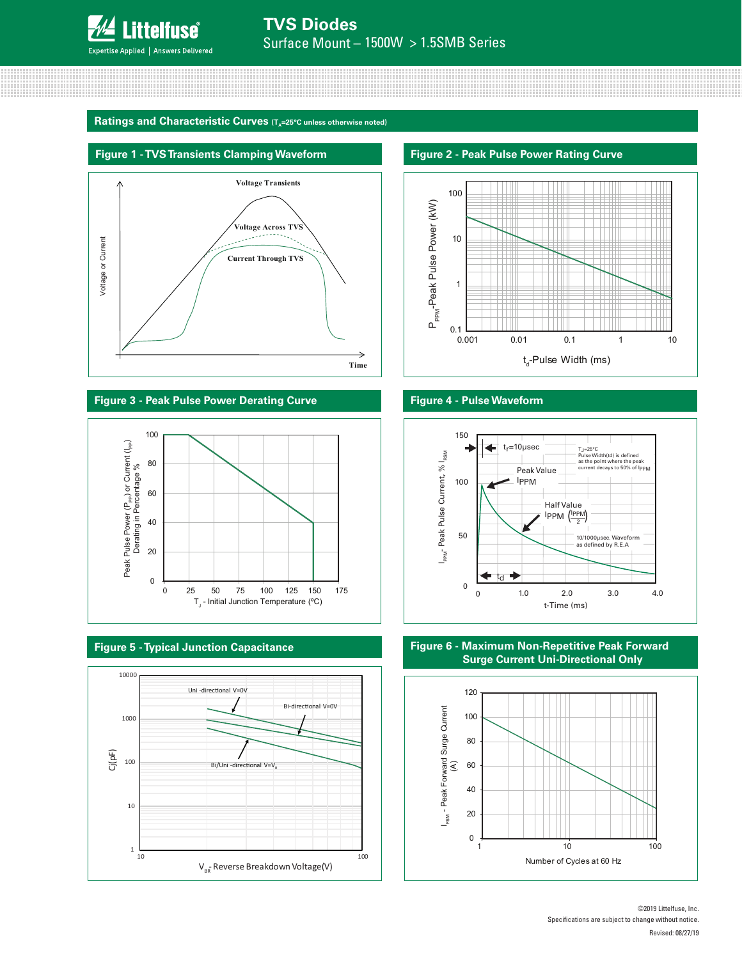

### Ratings and Characteristic Curves (T<sub>A</sub>=25°C unless otherwise noted)



**Figure 3 - Peak Pulse Power Derating Curve Figure 4 - Pulse Waveform**











**Figure 6 - Maximum Non-Repetitive Peak Forward Surge Current Uni-Directional Only**



©2019 Littelfuse, Inc. Specifications are subject to change without notice. Revised: 08/27/19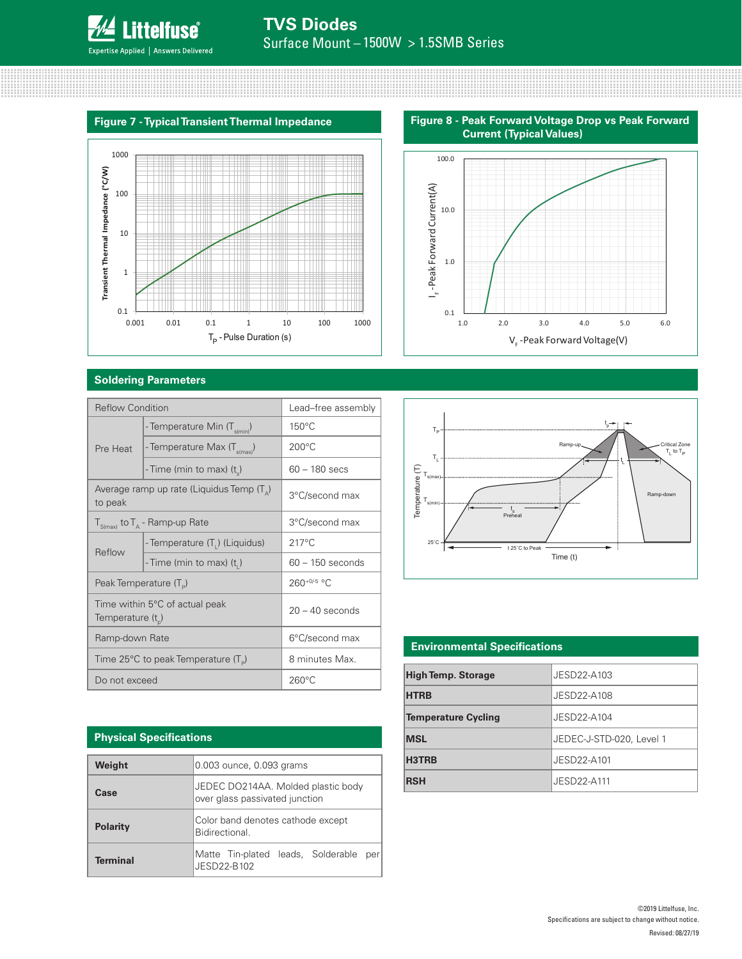

# **TVS Diodes** Surface Mount  $-1500W > 1.5SMB$  Series

### **Figure 7 - Typical Transient Thermal Impedance**



### **Soldering Parameters**

| <b>Reflow Condition</b>            |                                                           | Lead-free assembly |  |  |
|------------------------------------|-----------------------------------------------------------|--------------------|--|--|
|                                    | - Temperature Min (T <sub>s(min</sub> )                   | $150^{\circ}$ C    |  |  |
| Pre Heat                           | - Temperature Max (T <sub>s(max)</sub> )                  | $200^{\circ}$ C    |  |  |
|                                    | - Time (min to max) (t)                                   | $60 - 180$ secs    |  |  |
| to peak                            | Average ramp up rate (Liquidus Temp $(T_a)$ )             | 3°C/second max     |  |  |
|                                    | $T_{S(max)}$ to $T_A$ - Ramp-up Rate                      | 3°C/second max     |  |  |
| Reflow                             | - Temperature (T <sub>1</sub> ) (Liquidus)                | $217^{\circ}$ C    |  |  |
|                                    | - Time (min to max) $(ti)$                                | $60 - 150$ seconds |  |  |
| Peak Temperature (T <sub>D</sub> ) |                                                           | $260^{+0/5}$ °C    |  |  |
| Temperature $(t_{0})$              | Time within 5°C of actual peak                            | $20 - 40$ seconds  |  |  |
| Ramp-down Rate                     |                                                           | 6°C/second max     |  |  |
|                                    | Time 25 $\degree$ C to peak Temperature (T <sub>o</sub> ) | 8 minutes Max.     |  |  |
| Do not exceed                      |                                                           | $260^{\circ}$ C    |  |  |

## **Physical Specifications**

| Weight          | 0.003 ounce, 0.093 grams                                             |  |  |  |  |
|-----------------|----------------------------------------------------------------------|--|--|--|--|
| Case            | JEDEC DO214AA. Molded plastic body<br>over glass passivated junction |  |  |  |  |
| <b>Polarity</b> | Color band denotes cathode except<br>Bidirectional.                  |  |  |  |  |
| <b>Terminal</b> | Matte Tin-plated leads, Solderable<br>per<br>JESD22-B102             |  |  |  |  |







### **Environmental Specifications**

| <b>High Temp. Storage</b>  | JESD22-A103              |
|----------------------------|--------------------------|
| <b>HTRB</b>                | JESD22-A108              |
| <b>Temperature Cycling</b> | JESD22-A104              |
| <b>MSL</b>                 | JEDEC-J-STD-020, Level 1 |
| H3TRB                      | JESD22-A101              |
| <b>RSH</b>                 | JESD22-A111              |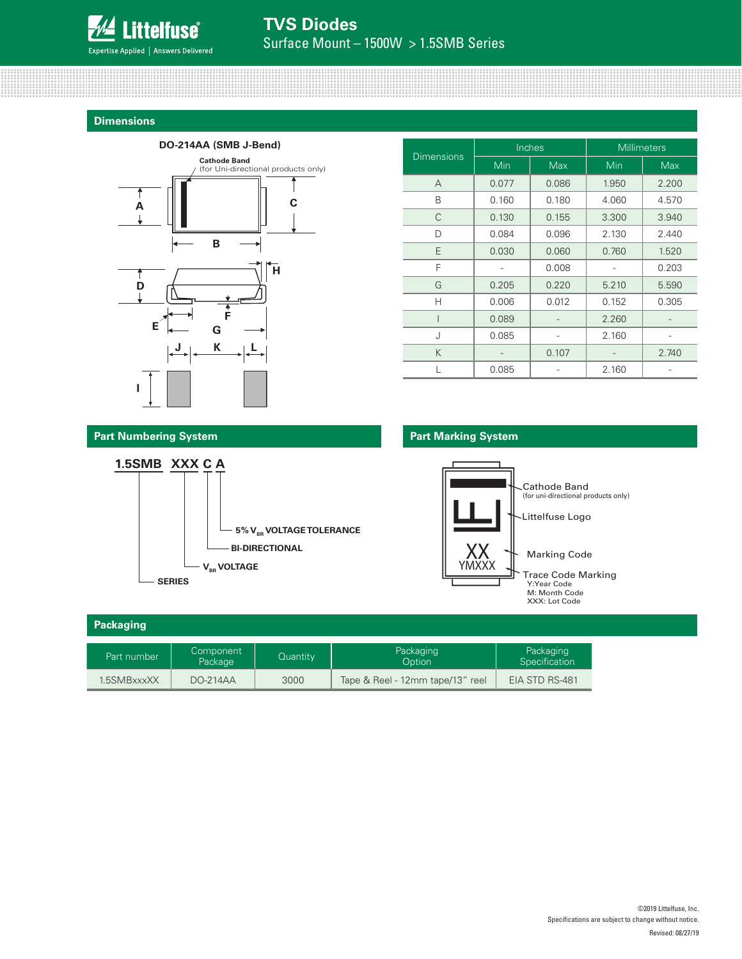

### **Dimensions**



| <b>Dimensions</b> |            | Inches | <b>Millimeters</b> |            |  |
|-------------------|------------|--------|--------------------|------------|--|
|                   | <b>Min</b> | Max    | Min                | <b>Max</b> |  |
| A                 | 0.077      | 0.086  | 1.950              | 2.200      |  |
| B                 | 0.160      | 0.180  | 4.060              | 4.570      |  |
| C                 | 0.130      | 0.155  | 3.300              | 3.940      |  |
| D                 | 0.084      | 0.096  | 2.130              | 2.440      |  |
| E                 | 0.030      | 0.060  | 0.760              | 1.520      |  |
| F                 |            | 0.008  |                    | 0.203      |  |
| G                 | 0.205      | 0.220  | 5.210              | 5.590      |  |
| Н                 | 0.006      | 0.012  | 0.152              | 0.305      |  |
|                   | 0.089      |        | 2.260              |            |  |
| J                 | 0.085      |        | 2.160              |            |  |
| K                 |            | 0.107  |                    | 2.740      |  |
|                   | 0.085      |        | 2.160              |            |  |

### **Part Marking System**



| Packaging   |                      |          |                                  |                            |
|-------------|----------------------|----------|----------------------------------|----------------------------|
| Part number | Component<br>Package | Quantity | Packaging<br>Option              | Packaging<br>Specification |
| 1.5SMBxxxXX | <b>DO-214AA</b>      | 3000     | Tape & Reel - 12mm tape/13" reel | EIA STD RS-481             |